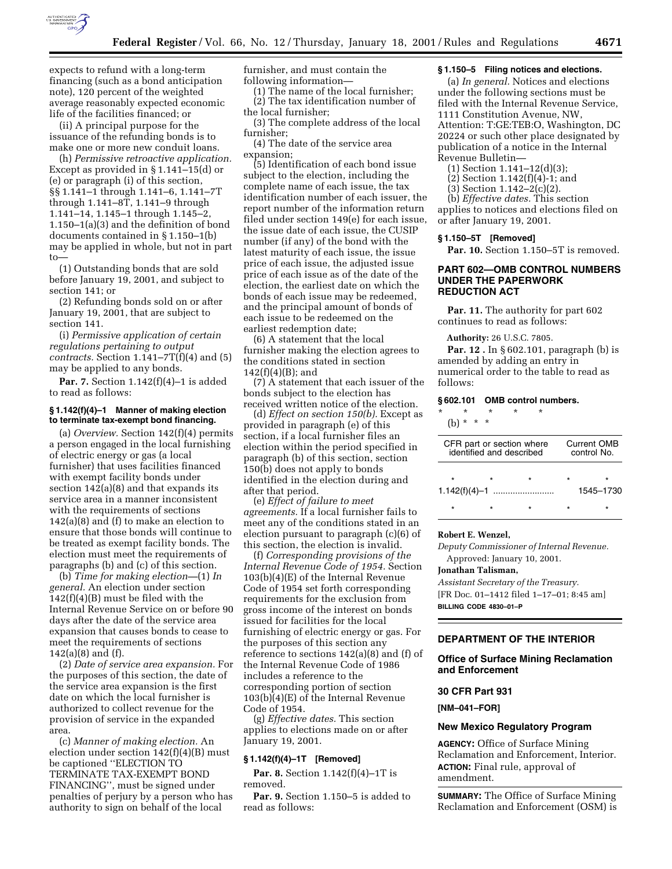

expects to refund with a long-term financing (such as a bond anticipation note), 120 percent of the weighted average reasonably expected economic life of the facilities financed; or

(ii) A principal purpose for the issuance of the refunding bonds is to make one or more new conduit loans.

(h) *Permissive retroactive application.* Except as provided in § 1.141–15(d) or (e) or paragraph (i) of this section, §§ 1.141–1 through 1.141–6, 1.141–7T through 1.141–8T, 1.141–9 through 1.141–14, 1.145–1 through 1.145–2, 1.150–1(a)(3) and the definition of bond documents contained in § 1.150–1(b) may be applied in whole, but not in part  $t_0$ 

(1) Outstanding bonds that are sold before January 19, 2001, and subject to section 141; or

(2) Refunding bonds sold on or after January 19, 2001, that are subject to section 141.

(i) *Permissive application of certain regulations pertaining to output contracts.* Section 1.141–7T(f)(4) and (5) may be applied to any bonds.

**Par. 7.** Section 1.142(f)(4)–1 is added to read as follows:

### **§ 1.142(f)(4)–1 Manner of making election to terminate tax-exempt bond financing.**

(a) *Overview.* Section 142(f)(4) permits a person engaged in the local furnishing of electric energy or gas (a local furnisher) that uses facilities financed with exempt facility bonds under section 142(a)(8) and that expands its service area in a manner inconsistent with the requirements of sections 142(a)(8) and (f) to make an election to ensure that those bonds will continue to be treated as exempt facility bonds. The election must meet the requirements of paragraphs (b) and (c) of this section.

(b) *Time for making election—*(1) *In general.* An election under section 142(f)(4)(B) must be filed with the Internal Revenue Service on or before 90 days after the date of the service area expansion that causes bonds to cease to meet the requirements of sections 142(a)(8) and (f).

(2) *Date of service area expansion.* For the purposes of this section, the date of the service area expansion is the first date on which the local furnisher is authorized to collect revenue for the provision of service in the expanded area.

(c) *Manner of making election.* An election under section 142(f)(4)(B) must be captioned ''ELECTION TO TERMINATE TAX-EXEMPT BOND FINANCING'', must be signed under penalties of perjury by a person who has authority to sign on behalf of the local

furnisher, and must contain the following information—

(1) The name of the local furnisher; (2) The tax identification number of

the local furnisher; (3) The complete address of the local

furnisher;

(4) The date of the service area expansion;

(5) Identification of each bond issue subject to the election, including the complete name of each issue, the tax identification number of each issuer, the report number of the information return filed under section 149(e) for each issue, the issue date of each issue, the CUSIP number (if any) of the bond with the latest maturity of each issue, the issue price of each issue, the adjusted issue price of each issue as of the date of the election, the earliest date on which the bonds of each issue may be redeemed, and the principal amount of bonds of each issue to be redeemed on the earliest redemption date;

(6) A statement that the local furnisher making the election agrees to the conditions stated in section  $142(f)(4)(B)$ ; and

(7) A statement that each issuer of the bonds subject to the election has received written notice of the election.

(d) *Effect on section 150(b).* Except as provided in paragraph (e) of this section, if a local furnisher files an election within the period specified in paragraph (b) of this section, section 150(b) does not apply to bonds identified in the election during and after that period.

(e) *Effect of failure to meet agreements.* If a local furnisher fails to meet any of the conditions stated in an election pursuant to paragraph (c)(6) of this section, the election is invalid.

(f) *Corresponding provisions of the Internal Revenue Code of 1954.* Section 103(b)(4)(E) of the Internal Revenue Code of 1954 set forth corresponding requirements for the exclusion from gross income of the interest on bonds issued for facilities for the local furnishing of electric energy or gas. For the purposes of this section any reference to sections 142(a)(8) and (f) of the Internal Revenue Code of 1986 includes a reference to the corresponding portion of section 103(b)(4)(E) of the Internal Revenue Code of 1954.

(g) *Effective dates.* This section applies to elections made on or after January 19, 2001.

### **§ 1.142(f)(4)–1T [Removed]**

**Par. 8.** Section 1.142(f)(4)–1T is removed.

**Par. 9.** Section 1.150–5 is added to read as follows:

### **§ 1.150–5 Filing notices and elections.**

(a) *In general.* Notices and elections under the following sections must be filed with the Internal Revenue Service, 1111 Constitution Avenue, NW, Attention: T:GE:TEB:O, Washington, DC 20224 or such other place designated by publication of a notice in the Internal Revenue Bulletin—

- (1) Section 1.141–12(d)(3);
- (2) Section 1.142(f)(4)-1; and
- $(3)$  Section 1.142–2 $(c)(2)$ .
- (b) *Effective dates.* This section

applies to notices and elections filed on or after January 19, 2001.

## **§ 1.150–5T [Removed]**

**Par. 10.** Section 1.150–5T is removed.

# **PART 602—OMB CONTROL NUMBERS UNDER THE PAPERWORK REDUCTION ACT**

**Par. 11.** The authority for part 602 continues to read as follows:

**Authority:** 26 U.S.C. 7805.

**Par. 12.** In § 602.101, paragraph (b) is amended by adding an entry in numerical order to the table to read as follows:

### **§ 602.101 OMB control numbers.**

\* \* \* \* \* (b) \* \* \*

|         | CFR part or section where<br>identified and described | <b>Current OMB</b><br>control No. |  |         |
|---------|-------------------------------------------------------|-----------------------------------|--|---------|
| $\star$ | $\star$                                               |                                   |  | $\star$ |
|         |                                                       | 1545-1730                         |  |         |
|         |                                                       |                                   |  |         |

### **Robert E. Wenzel,**

*Deputy Commissioner of Internal Revenue.* Approved: January 10, 2001.

#### **Jonathan Talisman,**

*Assistant Secretary of the Treasury.* [FR Doc. 01–1412 filed 1–17–01; 8:45 am] **BILLING CODE 4830–01–P**

# **DEPARTMENT OF THE INTERIOR**

# **Office of Surface Mining Reclamation and Enforcement**

### **30 CFR Part 931**

**[NM–041–FOR]**

### **New Mexico Regulatory Program**

**AGENCY:** Office of Surface Mining Reclamation and Enforcement, Interior. **ACTION:** Final rule, approval of amendment.

**SUMMARY:** The Office of Surface Mining Reclamation and Enforcement (OSM) is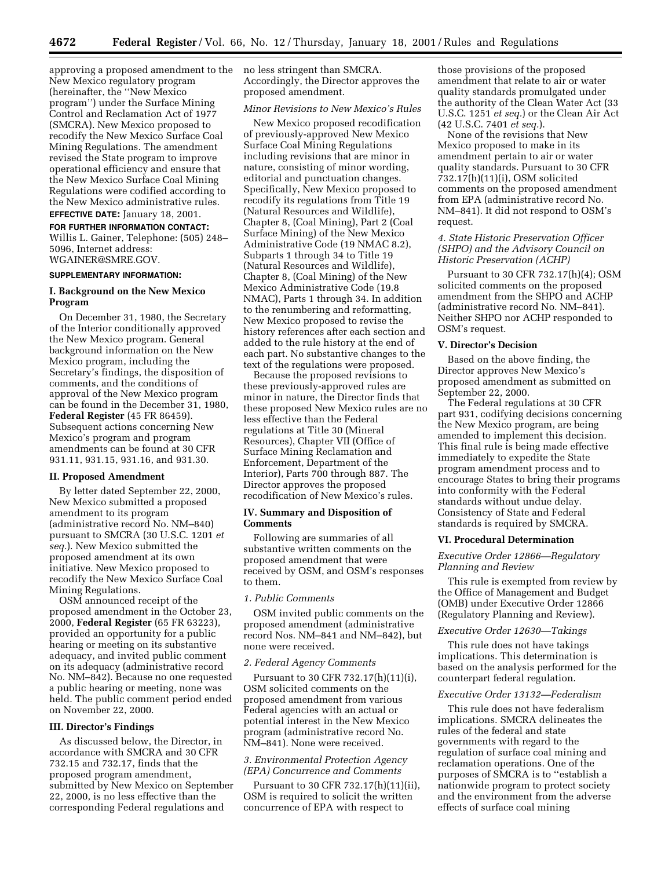approving a proposed amendment to the no less stringent than SMCRA. New Mexico regulatory program (hereinafter, the ''New Mexico program'') under the Surface Mining Control and Reclamation Act of 1977 (SMCRA). New Mexico proposed to recodify the New Mexico Surface Coal Mining Regulations. The amendment revised the State program to improve operational efficiency and ensure that the New Mexico Surface Coal Mining Regulations were codified according to the New Mexico administrative rules.

# **EFFECTIVE DATE:** January 18, 2001. **FOR FURTHER INFORMATION CONTACT:** Willis L. Gainer, Telephone: (505) 248– 5096, Internet address: WGAINER@SMRE.GOV.

### **SUPPLEMENTARY INFORMATION:**

## **I. Background on the New Mexico Program**

On December 31, 1980, the Secretary of the Interior conditionally approved the New Mexico program. General background information on the New Mexico program, including the Secretary's findings, the disposition of comments, and the conditions of approval of the New Mexico program can be found in the December 31, 1980, **Federal Register** (45 FR 86459). Subsequent actions concerning New Mexico's program and program amendments can be found at 30 CFR 931.11, 931.15, 931.16, and 931.30.

### **II. Proposed Amendment**

By letter dated September 22, 2000, New Mexico submitted a proposed amendment to its program (administrative record No. NM–840) pursuant to SMCRA (30 U.S.C. 1201 *et seq.*). New Mexico submitted the proposed amendment at its own initiative. New Mexico proposed to recodify the New Mexico Surface Coal Mining Regulations.

OSM announced receipt of the proposed amendment in the October 23, 2000, **Federal Register** (65 FR 63223), provided an opportunity for a public hearing or meeting on its substantive adequacy, and invited public comment on its adequacy (administrative record No. NM–842). Because no one requested a public hearing or meeting, none was held. The public comment period ended on November 22, 2000.

# **III. Director's Findings**

As discussed below, the Director, in accordance with SMCRA and 30 CFR 732.15 and 732.17, finds that the proposed program amendment, submitted by New Mexico on September 22, 2000, is no less effective than the corresponding Federal regulations and

Accordingly, the Director approves the proposed amendment.

### *Minor Revisions to New Mexico's Rules*

New Mexico proposed recodification of previously-approved New Mexico Surface Coal Mining Regulations including revisions that are minor in nature, consisting of minor wording, editorial and punctuation changes. Specifically, New Mexico proposed to recodify its regulations from Title 19 (Natural Resources and Wildlife), Chapter 8, (Coal Mining), Part 2 (Coal Surface Mining) of the New Mexico Administrative Code (19 NMAC 8.2), Subparts 1 through 34 to Title 19 (Natural Resources and Wildlife), Chapter 8, (Coal Mining) of the New Mexico Administrative Code (19.8 NMAC), Parts 1 through 34. In addition to the renumbering and reformatting, New Mexico proposed to revise the history references after each section and added to the rule history at the end of each part. No substantive changes to the text of the regulations were proposed.

Because the proposed revisions to these previously-approved rules are minor in nature, the Director finds that these proposed New Mexico rules are no less effective than the Federal regulations at Title 30 (Mineral Resources), Chapter VII (Office of Surface Mining Reclamation and Enforcement, Department of the Interior), Parts 700 through 887. The Director approves the proposed recodification of New Mexico's rules.

### **IV. Summary and Disposition of Comments**

Following are summaries of all substantive written comments on the proposed amendment that were received by OSM, and OSM's responses to them.

### *1. Public Comments*

OSM invited public comments on the proposed amendment (administrative record Nos. NM–841 and NM–842), but none were received.

### *2. Federal Agency Comments*

Pursuant to 30 CFR 732.17(h)(11)(i), OSM solicited comments on the proposed amendment from various Federal agencies with an actual or potential interest in the New Mexico program (administrative record No. NM–841). None were received.

# *3. Environmental Protection Agency (EPA) Concurrence and Comments*

Pursuant to 30 CFR 732.17(h)(11)(ii), OSM is required to solicit the written concurrence of EPA with respect to

those provisions of the proposed amendment that relate to air or water quality standards promulgated under the authority of the Clean Water Act (33 U.S.C. 1251 *et seq.*) or the Clean Air Act (42 U.S.C. 7401 *et seq.*).

None of the revisions that New Mexico proposed to make in its amendment pertain to air or water quality standards. Pursuant to 30 CFR 732.17(h)(11)(i), OSM solicited comments on the proposed amendment from EPA (administrative record No. NM–841). It did not respond to OSM's request.

# *4. State Historic Preservation Officer (SHPO) and the Advisory Council on Historic Preservation (ACHP)*

Pursuant to 30 CFR 732.17(h)(4); OSM solicited comments on the proposed amendment from the SHPO and ACHP (administrative record No. NM–841). Neither SHPO nor ACHP responded to OSM's request.

## **V. Director's Decision**

Based on the above finding, the Director approves New Mexico's proposed amendment as submitted on September 22, 2000.

The Federal regulations at 30 CFR part 931, codifying decisions concerning the New Mexico program, are being amended to implement this decision. This final rule is being made effective immediately to expedite the State program amendment process and to encourage States to bring their programs into conformity with the Federal standards without undue delay. Consistency of State and Federal standards is required by SMCRA.

### **VI. Procedural Determination**

# *Executive Order 12866—Regulatory Planning and Review*

This rule is exempted from review by the Office of Management and Budget (OMB) under Executive Order 12866 (Regulatory Planning and Review).

#### *Executive Order 12630—Takings*

This rule does not have takings implications. This determination is based on the analysis performed for the counterpart federal regulation.

### *Executive Order 13132—Federalism*

This rule does not have federalism implications. SMCRA delineates the rules of the federal and state governments with regard to the regulation of surface coal mining and reclamation operations. One of the purposes of SMCRA is to ''establish a nationwide program to protect society and the environment from the adverse effects of surface coal mining